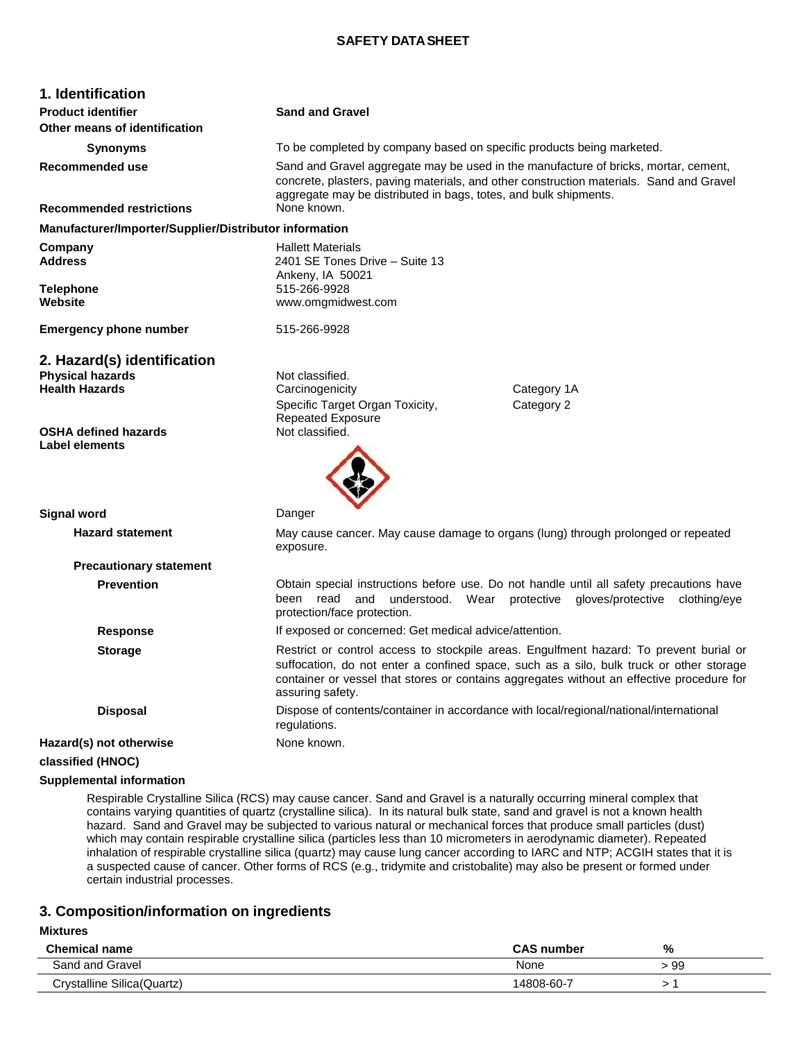### **SAFETY DATA SHEET**

| 1. Identification                                                               |                                                                                                                                                                                                                                                    |                                                                                                                                                                                                                                                                                |
|---------------------------------------------------------------------------------|----------------------------------------------------------------------------------------------------------------------------------------------------------------------------------------------------------------------------------------------------|--------------------------------------------------------------------------------------------------------------------------------------------------------------------------------------------------------------------------------------------------------------------------------|
| <b>Product identifier</b><br>Other means of identification                      | <b>Sand and Gravel</b>                                                                                                                                                                                                                             |                                                                                                                                                                                                                                                                                |
|                                                                                 |                                                                                                                                                                                                                                                    |                                                                                                                                                                                                                                                                                |
| <b>Synonyms</b>                                                                 | To be completed by company based on specific products being marketed.                                                                                                                                                                              |                                                                                                                                                                                                                                                                                |
| <b>Recommended use</b>                                                          | Sand and Gravel aggregate may be used in the manufacture of bricks, mortar, cement,<br>concrete, plasters, paving materials, and other construction materials. Sand and Gravel<br>aggregate may be distributed in bags, totes, and bulk shipments. |                                                                                                                                                                                                                                                                                |
| <b>Recommended restrictions</b>                                                 | None known.                                                                                                                                                                                                                                        |                                                                                                                                                                                                                                                                                |
| Manufacturer/Importer/Supplier/Distributor information                          |                                                                                                                                                                                                                                                    |                                                                                                                                                                                                                                                                                |
| Company<br><b>Address</b>                                                       | <b>Hallett Materials</b><br>2401 SE Tones Drive - Suite 13<br>Ankeny, IA 50021                                                                                                                                                                     |                                                                                                                                                                                                                                                                                |
| <b>Telephone</b><br>Website                                                     | 515-266-9928<br>www.omgmidwest.com                                                                                                                                                                                                                 |                                                                                                                                                                                                                                                                                |
| <b>Emergency phone number</b>                                                   | 515-266-9928                                                                                                                                                                                                                                       |                                                                                                                                                                                                                                                                                |
| 2. Hazard(s) identification<br><b>Physical hazards</b><br><b>Health Hazards</b> | Not classified.<br>Carcinogenicity<br>Specific Target Organ Toxicity,                                                                                                                                                                              | Category 1A<br>Category 2                                                                                                                                                                                                                                                      |
| <b>OSHA defined hazards</b><br><b>Label elements</b>                            | <b>Repeated Exposure</b><br>Not classified.                                                                                                                                                                                                        |                                                                                                                                                                                                                                                                                |
| <b>Signal word</b>                                                              | Danger                                                                                                                                                                                                                                             |                                                                                                                                                                                                                                                                                |
| <b>Hazard statement</b>                                                         | May cause cancer. May cause damage to organs (lung) through prolonged or repeated<br>exposure.                                                                                                                                                     |                                                                                                                                                                                                                                                                                |
| <b>Precautionary statement</b>                                                  |                                                                                                                                                                                                                                                    |                                                                                                                                                                                                                                                                                |
| <b>Prevention</b>                                                               | been read and understood. Wear protective gloves/protective<br>protection/face protection.                                                                                                                                                         | Obtain special instructions before use. Do not handle until all safety precautions have<br>clothing/eye                                                                                                                                                                        |
| <b>Response</b>                                                                 | If exposed or concerned: Get medical advice/attention.                                                                                                                                                                                             |                                                                                                                                                                                                                                                                                |
| <b>Storage</b>                                                                  | assuring safety.                                                                                                                                                                                                                                   | Restrict or control access to stockpile areas. Engulfment hazard: To prevent burial or<br>suffocation, do not enter a confined space, such as a silo, bulk truck or other storage<br>container or vessel that stores or contains aggregates without an effective procedure for |
| <b>Disposal</b>                                                                 | Dispose of contents/container in accordance with local/regional/national/international<br>regulations.                                                                                                                                             |                                                                                                                                                                                                                                                                                |
| Hazard(s) not otherwise                                                         | None known.                                                                                                                                                                                                                                        |                                                                                                                                                                                                                                                                                |
| classified (HNOC)                                                               |                                                                                                                                                                                                                                                    |                                                                                                                                                                                                                                                                                |

#### **Supplemental information**

Respirable Crystalline Silica (RCS) may cause cancer. Sand and Gravel is a naturally occurring mineral complex that contains varying quantities of quartz (crystalline silica). In its natural bulk state, sand and gravel is not a known health hazard. Sand and Gravel may be subjected to various natural or mechanical forces that produce small particles (dust) which may contain respirable crystalline silica (particles less than 10 micrometers in aerodynamic diameter). Repeated inhalation of respirable crystalline silica (quartz) may cause lung cancer according to IARC and NTP; ACGIH states that it is a suspected cause of cancer. Other forms of RCS (e.g., tridymite and cristobalite) may also be present or formed under certain industrial processes.

## **3. Composition/information on ingredients**

#### **Mixtures**

| Chemical<br>name            | <b>CAS number</b> | %   |
|-----------------------------|-------------------|-----|
| Gravel<br>Sand and          | None              | -99 |
| Crystalline Silica (Quartz) | 4808-60-7         |     |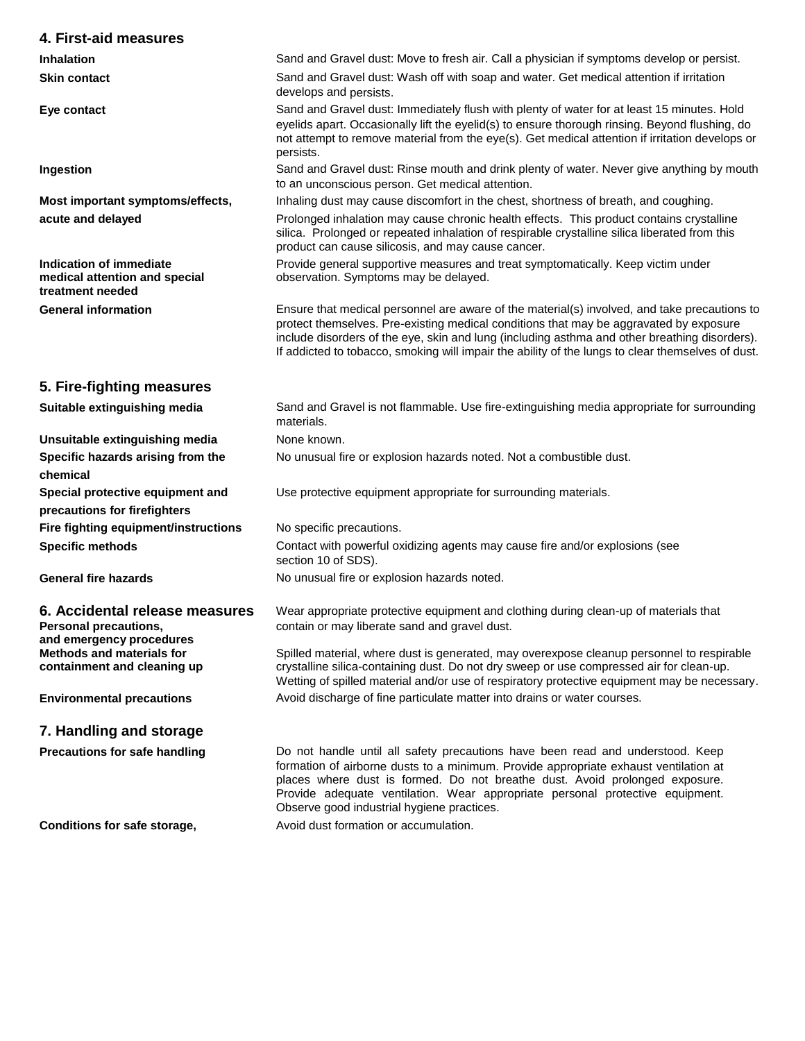| 4. First-aid measures                                                               |                                                                                                                                                                                                                                                                                                                                                                                              |
|-------------------------------------------------------------------------------------|----------------------------------------------------------------------------------------------------------------------------------------------------------------------------------------------------------------------------------------------------------------------------------------------------------------------------------------------------------------------------------------------|
| <b>Inhalation</b>                                                                   | Sand and Gravel dust: Move to fresh air. Call a physician if symptoms develop or persist.                                                                                                                                                                                                                                                                                                    |
| <b>Skin contact</b>                                                                 | Sand and Gravel dust: Wash off with soap and water. Get medical attention if irritation<br>develops and persists.                                                                                                                                                                                                                                                                            |
| Eye contact                                                                         | Sand and Gravel dust: Immediately flush with plenty of water for at least 15 minutes. Hold<br>eyelids apart. Occasionally lift the eyelid(s) to ensure thorough rinsing. Beyond flushing, do<br>not attempt to remove material from the eye(s). Get medical attention if irritation develops or<br>persists.                                                                                 |
| Ingestion                                                                           | Sand and Gravel dust: Rinse mouth and drink plenty of water. Never give anything by mouth<br>to an unconscious person. Get medical attention.                                                                                                                                                                                                                                                |
| Most important symptoms/effects,                                                    | Inhaling dust may cause discomfort in the chest, shortness of breath, and coughing.                                                                                                                                                                                                                                                                                                          |
| acute and delayed                                                                   | Prolonged inhalation may cause chronic health effects. This product contains crystalline<br>silica. Prolonged or repeated inhalation of respirable crystalline silica liberated from this<br>product can cause silicosis, and may cause cancer.                                                                                                                                              |
| Indication of immediate<br>medical attention and special<br>treatment needed        | Provide general supportive measures and treat symptomatically. Keep victim under<br>observation. Symptoms may be delayed.                                                                                                                                                                                                                                                                    |
| <b>General information</b>                                                          | Ensure that medical personnel are aware of the material(s) involved, and take precautions to<br>protect themselves. Pre-existing medical conditions that may be aggravated by exposure<br>include disorders of the eye, skin and lung (including asthma and other breathing disorders).<br>If addicted to tobacco, smoking will impair the ability of the lungs to clear themselves of dust. |
| 5. Fire-fighting measures                                                           |                                                                                                                                                                                                                                                                                                                                                                                              |
| Suitable extinguishing media                                                        | Sand and Gravel is not flammable. Use fire-extinguishing media appropriate for surrounding<br>materials.                                                                                                                                                                                                                                                                                     |
| Unsuitable extinguishing media                                                      | None known.                                                                                                                                                                                                                                                                                                                                                                                  |
| Specific hazards arising from the<br>chemical                                       | No unusual fire or explosion hazards noted. Not a combustible dust.                                                                                                                                                                                                                                                                                                                          |
| Special protective equipment and<br>precautions for firefighters                    | Use protective equipment appropriate for surrounding materials.                                                                                                                                                                                                                                                                                                                              |
| Fire fighting equipment/instructions                                                | No specific precautions.                                                                                                                                                                                                                                                                                                                                                                     |
| <b>Specific methods</b>                                                             | Contact with powerful oxidizing agents may cause fire and/or explosions (see<br>section 10 of SDS).                                                                                                                                                                                                                                                                                          |
| <b>General fire hazards</b>                                                         | No unusual fire or explosion hazards noted.                                                                                                                                                                                                                                                                                                                                                  |
| 6. Accidental release measures<br>Personal precautions,<br>and emergency procedures | Wear appropriate protective equipment and clothing during clean-up of materials that<br>contain or may liberate sand and gravel dust.                                                                                                                                                                                                                                                        |
| <b>Methods and materials for</b><br>containment and cleaning up                     | Spilled material, where dust is generated, may overexpose cleanup personnel to respirable<br>crystalline silica-containing dust. Do not dry sweep or use compressed air for clean-up.<br>Wetting of spilled material and/or use of respiratory protective equipment may be necessary.                                                                                                        |
| <b>Environmental precautions</b>                                                    | Avoid discharge of fine particulate matter into drains or water courses.                                                                                                                                                                                                                                                                                                                     |
| 7. Handling and storage                                                             |                                                                                                                                                                                                                                                                                                                                                                                              |
| <b>Precautions for safe handling</b>                                                | Do not handle until all safety precautions have been read and understood. Keep<br>formation of airborne dusts to a minimum. Provide appropriate exhaust ventilation at<br>places where dust is formed. Do not breathe dust. Avoid prolonged exposure.<br>Provide adequate ventilation. Wear appropriate personal protective equipment.<br>Observe good industrial hygiene practices.         |
| Conditions for safe storage,                                                        | Avoid dust formation or accumulation.                                                                                                                                                                                                                                                                                                                                                        |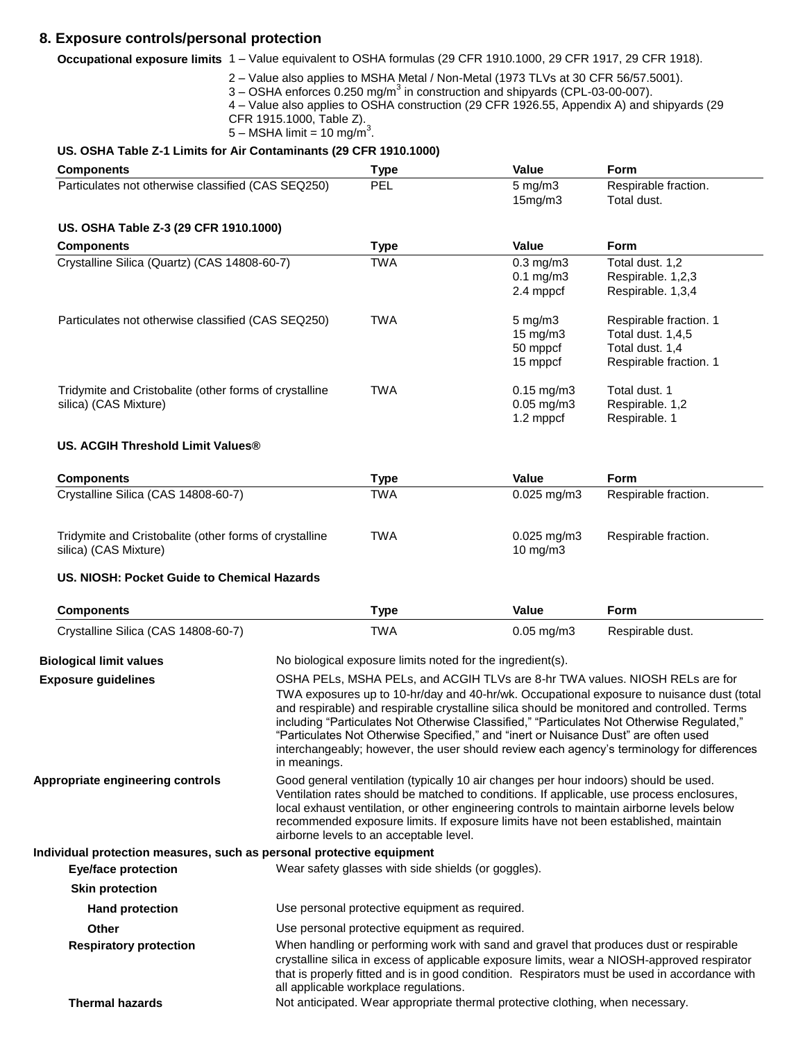# **8. Exposure controls/personal protection**

**Occupational exposure limits** 1 – Value equivalent to OSHA formulas (29 CFR 1910.1000, 29 CFR 1917, 29 CFR 1918).

- 2 Value also applies to MSHA Metal / Non-Metal (1973 TLVs at 30 CFR 56/57.5001).
- $3 -$ OSHA enforces 0.250 mg/m<sup>3</sup> in construction and shipyards (CPL-03-00-007).
- 4 Value also applies to OSHA construction (29 CFR 1926.55, Appendix A) and shipyards (29 CFR 1915.1000, Table Z).
- 5 MSHA limit = 10 mg/m<sup>3</sup>.

# **US. OSHA Table Z-1 Limits for Air Contaminants (29 CFR 1910.1000)**

| <b>Components</b>                                      | <b>Type</b>                                                                  | <b>Value</b>       | Form                   |
|--------------------------------------------------------|------------------------------------------------------------------------------|--------------------|------------------------|
| Particulates not otherwise classified (CAS SEQ250)     | PEL                                                                          | $5 \text{ mg/m}$   | Respirable fraction.   |
|                                                        |                                                                              | 15mg/m3            | Total dust.            |
| US. OSHA Table Z-3 (29 CFR 1910.1000)                  |                                                                              |                    |                        |
| <b>Components</b>                                      | <b>Type</b>                                                                  | Value              | <b>Form</b>            |
| Crystalline Silica (Quartz) (CAS 14808-60-7)           | <b>TWA</b>                                                                   | $0.3$ mg/m $3$     | Total dust. 1,2        |
|                                                        |                                                                              | $0.1$ mg/m $3$     | Respirable. 1,2,3      |
|                                                        |                                                                              | 2.4 mppcf          | Respirable. 1,3,4      |
| Particulates not otherwise classified (CAS SEQ250)     | <b>TWA</b>                                                                   | $5 \text{ mg/m}$ 3 | Respirable fraction. 1 |
|                                                        |                                                                              | 15 mg/m3           | Total dust. 1,4,5      |
|                                                        |                                                                              | 50 mppcf           | Total dust. 1,4        |
|                                                        |                                                                              | 15 mppcf           | Respirable fraction. 1 |
| Tridymite and Cristobalite (other forms of crystalline | <b>TWA</b>                                                                   | $0.15$ mg/m $3$    | Total dust. 1          |
| silica) (CAS Mixture)                                  |                                                                              | $0.05$ mg/m $3$    | Respirable. 1,2        |
|                                                        |                                                                              | 1.2 mppcf          | Respirable. 1          |
| US. ACGIH Threshold Limit Values <sup>®</sup>          |                                                                              |                    |                        |
| <b>Components</b>                                      | <b>Type</b>                                                                  | <b>Value</b>       | <b>Form</b>            |
| Crystalline Silica (CAS 14808-60-7)                    | <b>TWA</b>                                                                   | $0.025$ mg/m3      | Respirable fraction.   |
| Tridymite and Cristobalite (other forms of crystalline | <b>TWA</b>                                                                   | $0.025$ mg/m $3$   | Respirable fraction.   |
| silica) (CAS Mixture)                                  |                                                                              | 10 mg/m3           |                        |
| US. NIOSH: Pocket Guide to Chemical Hazards            |                                                                              |                    |                        |
| <b>Components</b>                                      | <b>Type</b>                                                                  | Value              | <b>Form</b>            |
| Crystalline Silica (CAS 14808-60-7)                    | <b>TWA</b>                                                                   | $0.05$ mg/m $3$    | Respirable dust.       |
| <b>Biological limit values</b>                         | No biological exposure limits noted for the ingredient(s).                   |                    |                        |
| <b>Exposure guidelines</b>                             | OSHA PELs, MSHA PELs, and ACGIH TLVs are 8-hr TWA values. NIOSH RELs are for |                    |                        |
|                                                        |                                                                              |                    |                        |

|                                                                       | TWA exposures up to 10-hr/day and 40-hr/wk. Occupational exposure to nuisance dust (total<br>and respirable) and respirable crystalline silica should be monitored and controlled. Terms<br>including "Particulates Not Otherwise Classified," "Particulates Not Otherwise Regulated,"<br>"Particulates Not Otherwise Specified," and "inert or Nuisance Dust" are often used<br>interchangeably; however, the user should review each agency's terminology for differences<br>in meanings. |
|-----------------------------------------------------------------------|---------------------------------------------------------------------------------------------------------------------------------------------------------------------------------------------------------------------------------------------------------------------------------------------------------------------------------------------------------------------------------------------------------------------------------------------------------------------------------------------|
| Appropriate engineering controls                                      | Good general ventilation (typically 10 air changes per hour indoors) should be used.<br>Ventilation rates should be matched to conditions. If applicable, use process enclosures,<br>local exhaust ventilation, or other engineering controls to maintain airborne levels below<br>recommended exposure limits. If exposure limits have not been established, maintain<br>airborne levels to an acceptable level.                                                                           |
| Individual protection measures, such as personal protective equipment |                                                                                                                                                                                                                                                                                                                                                                                                                                                                                             |
| Eye/face protection                                                   | Wear safety glasses with side shields (or goggles).                                                                                                                                                                                                                                                                                                                                                                                                                                         |
| <b>Skin protection</b>                                                |                                                                                                                                                                                                                                                                                                                                                                                                                                                                                             |
| <b>Hand protection</b>                                                | Use personal protective equipment as required.                                                                                                                                                                                                                                                                                                                                                                                                                                              |
| <b>Other</b>                                                          | Use personal protective equipment as required.                                                                                                                                                                                                                                                                                                                                                                                                                                              |
| <b>Respiratory protection</b>                                         | When handling or performing work with sand and gravel that produces dust or respirable<br>crystalline silica in excess of applicable exposure limits, wear a NIOSH-approved respirator<br>that is properly fitted and is in good condition. Respirators must be used in accordance with<br>all applicable workplace regulations.                                                                                                                                                            |
| <b>Thermal hazards</b>                                                | Not anticipated. Wear appropriate thermal protective clothing, when necessary.                                                                                                                                                                                                                                                                                                                                                                                                              |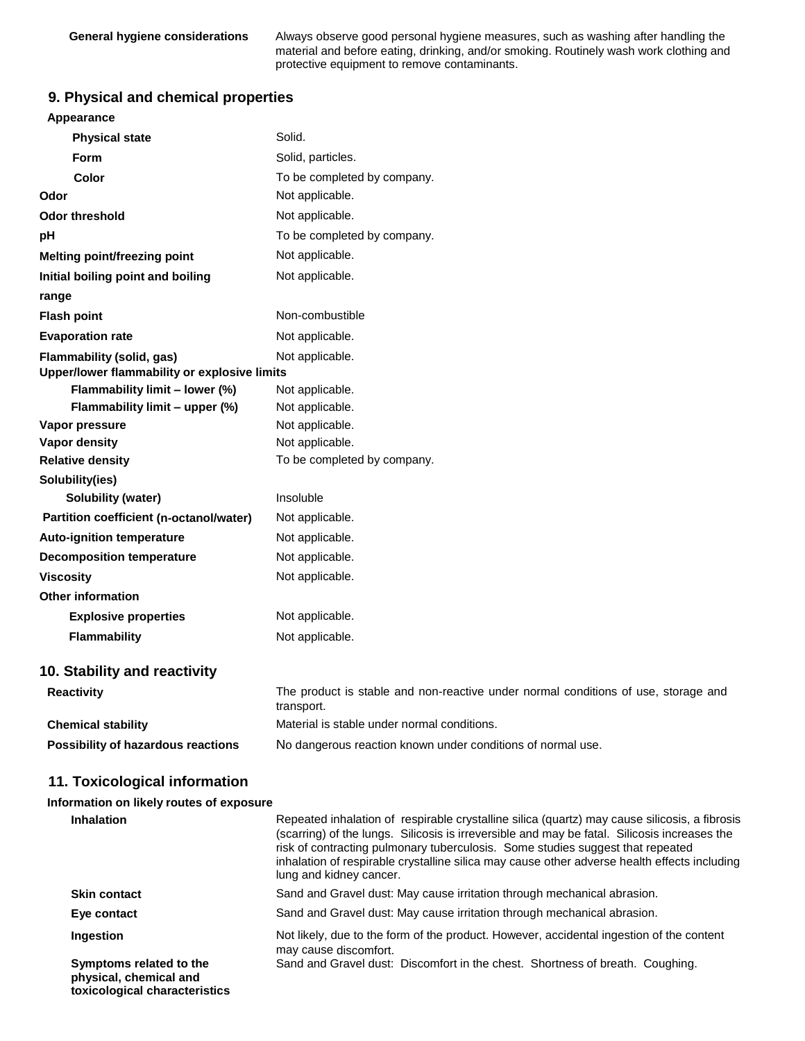**General hygiene considerations** Always observe good personal hygiene measures, such as washing after handling the material and before eating, drinking, and/or smoking. Routinely wash work clothing and protective equipment to remove contaminants.

## **9. Physical and chemical properties**

| Appearance                                                                       |                                                                                                  |
|----------------------------------------------------------------------------------|--------------------------------------------------------------------------------------------------|
| <b>Physical state</b>                                                            | Solid.                                                                                           |
| <b>Form</b>                                                                      | Solid, particles.                                                                                |
| Color                                                                            | To be completed by company.                                                                      |
| Odor                                                                             | Not applicable.                                                                                  |
| <b>Odor threshold</b>                                                            | Not applicable.                                                                                  |
| рH                                                                               | To be completed by company.                                                                      |
| Melting point/freezing point                                                     | Not applicable.                                                                                  |
| Initial boiling point and boiling                                                | Not applicable.                                                                                  |
| range                                                                            |                                                                                                  |
| <b>Flash point</b>                                                               | Non-combustible                                                                                  |
| <b>Evaporation rate</b>                                                          | Not applicable.                                                                                  |
| <b>Flammability (solid, gas)</b><br>Upper/lower flammability or explosive limits | Not applicable.                                                                                  |
| Flammability limit - lower (%)                                                   | Not applicable.                                                                                  |
| Flammability limit - upper (%)                                                   | Not applicable.                                                                                  |
| Vapor pressure                                                                   | Not applicable.                                                                                  |
| <b>Vapor density</b>                                                             | Not applicable.                                                                                  |
| <b>Relative density</b>                                                          | To be completed by company.                                                                      |
| Solubility(ies)                                                                  |                                                                                                  |
| <b>Solubility (water)</b>                                                        | Insoluble                                                                                        |
| Partition coefficient (n-octanol/water)                                          | Not applicable.                                                                                  |
| <b>Auto-ignition temperature</b>                                                 | Not applicable.                                                                                  |
| <b>Decomposition temperature</b>                                                 | Not applicable.                                                                                  |
| <b>Viscosity</b>                                                                 | Not applicable.                                                                                  |
| <b>Other information</b>                                                         |                                                                                                  |
| <b>Explosive properties</b>                                                      | Not applicable.                                                                                  |
| <b>Flammability</b>                                                              | Not applicable.                                                                                  |
| 10. Stability and reactivity                                                     |                                                                                                  |
| <b>Reactivity</b>                                                                | The product is stable and non-reactive under normal conditions of use, storage and<br>transport. |
| <b>Chemical stability</b>                                                        | Material is stable under normal conditions.                                                      |
| Possibility of hazardous reactions                                               | No dangerous reaction known under conditions of normal use.                                      |

## **11. Toxicological information**

### **Information on likely routes of exposure**

| <b>Inhalation</b>                                                                  | Repeated inhalation of respirable crystalline silica (quartz) may cause silicosis, a fibrosis<br>(scarring) of the lungs. Silicosis is irreversible and may be fatal. Silicosis increases the<br>risk of contracting pulmonary tuberculosis. Some studies suggest that repeated<br>inhalation of respirable crystalline silica may cause other adverse health effects including<br>lung and kidney cancer. |
|------------------------------------------------------------------------------------|------------------------------------------------------------------------------------------------------------------------------------------------------------------------------------------------------------------------------------------------------------------------------------------------------------------------------------------------------------------------------------------------------------|
| <b>Skin contact</b>                                                                | Sand and Gravel dust: May cause irritation through mechanical abrasion.                                                                                                                                                                                                                                                                                                                                    |
| Eye contact                                                                        | Sand and Gravel dust: May cause irritation through mechanical abrasion.                                                                                                                                                                                                                                                                                                                                    |
| <b>Ingestion</b>                                                                   | Not likely, due to the form of the product. However, accidental ingestion of the content<br>may cause discomfort.                                                                                                                                                                                                                                                                                          |
| Symptoms related to the<br>physical, chemical and<br>toxicological characteristics | Sand and Gravel dust: Discomfort in the chest. Shortness of breath. Coughing.                                                                                                                                                                                                                                                                                                                              |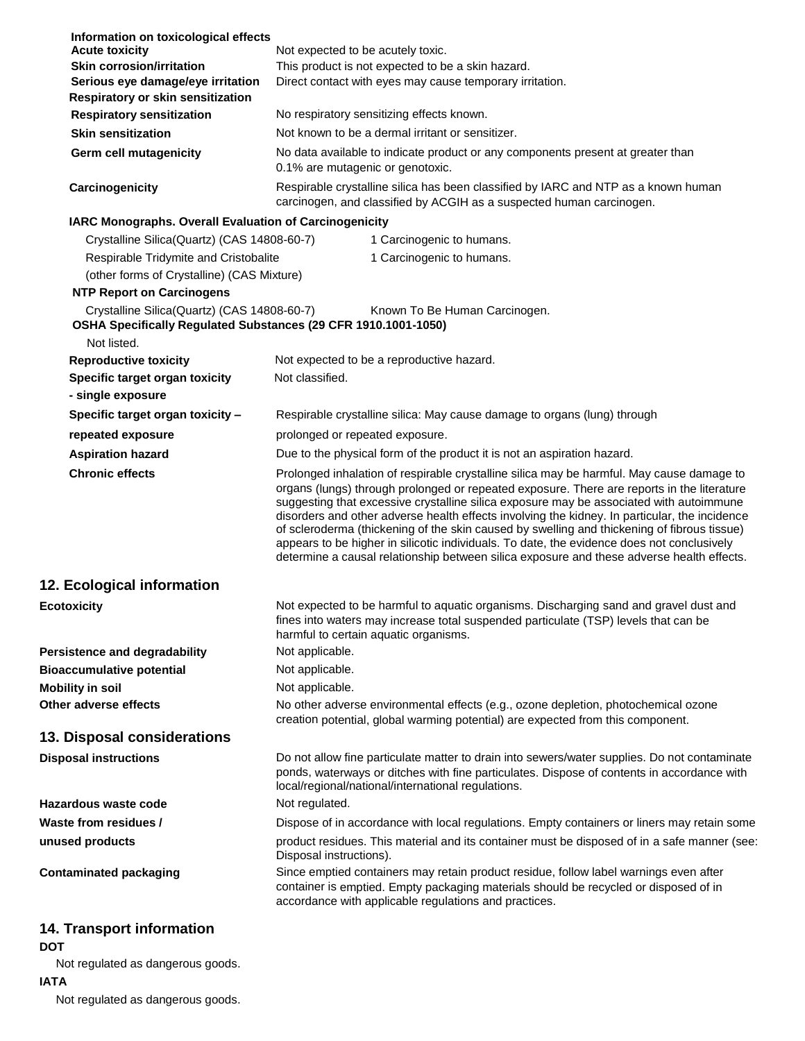| Information on toxicological effects                                                                          |                                                                                                                                                                                                                                                                                                                                                                                                                                                                                                                                                                                                                                                                               |
|---------------------------------------------------------------------------------------------------------------|-------------------------------------------------------------------------------------------------------------------------------------------------------------------------------------------------------------------------------------------------------------------------------------------------------------------------------------------------------------------------------------------------------------------------------------------------------------------------------------------------------------------------------------------------------------------------------------------------------------------------------------------------------------------------------|
| <b>Acute toxicity</b>                                                                                         | Not expected to be acutely toxic.                                                                                                                                                                                                                                                                                                                                                                                                                                                                                                                                                                                                                                             |
| <b>Skin corrosion/irritation</b>                                                                              | This product is not expected to be a skin hazard.                                                                                                                                                                                                                                                                                                                                                                                                                                                                                                                                                                                                                             |
| Serious eye damage/eye irritation<br>Respiratory or skin sensitization                                        | Direct contact with eyes may cause temporary irritation.                                                                                                                                                                                                                                                                                                                                                                                                                                                                                                                                                                                                                      |
| <b>Respiratory sensitization</b>                                                                              | No respiratory sensitizing effects known.                                                                                                                                                                                                                                                                                                                                                                                                                                                                                                                                                                                                                                     |
| <b>Skin sensitization</b>                                                                                     | Not known to be a dermal irritant or sensitizer.                                                                                                                                                                                                                                                                                                                                                                                                                                                                                                                                                                                                                              |
| Germ cell mutagenicity                                                                                        | No data available to indicate product or any components present at greater than<br>0.1% are mutagenic or genotoxic.                                                                                                                                                                                                                                                                                                                                                                                                                                                                                                                                                           |
| Carcinogenicity                                                                                               | Respirable crystalline silica has been classified by IARC and NTP as a known human<br>carcinogen, and classified by ACGIH as a suspected human carcinogen.                                                                                                                                                                                                                                                                                                                                                                                                                                                                                                                    |
| IARC Monographs. Overall Evaluation of Carcinogenicity                                                        |                                                                                                                                                                                                                                                                                                                                                                                                                                                                                                                                                                                                                                                                               |
| Crystalline Silica(Quartz) (CAS 14808-60-7)                                                                   | 1 Carcinogenic to humans.                                                                                                                                                                                                                                                                                                                                                                                                                                                                                                                                                                                                                                                     |
| Respirable Tridymite and Cristobalite                                                                         | 1 Carcinogenic to humans.                                                                                                                                                                                                                                                                                                                                                                                                                                                                                                                                                                                                                                                     |
| (other forms of Crystalline) (CAS Mixture)                                                                    |                                                                                                                                                                                                                                                                                                                                                                                                                                                                                                                                                                                                                                                                               |
| <b>NTP Report on Carcinogens</b>                                                                              |                                                                                                                                                                                                                                                                                                                                                                                                                                                                                                                                                                                                                                                                               |
| Crystalline Silica(Quartz) (CAS 14808-60-7)<br>OSHA Specifically Regulated Substances (29 CFR 1910.1001-1050) | Known To Be Human Carcinogen.                                                                                                                                                                                                                                                                                                                                                                                                                                                                                                                                                                                                                                                 |
| Not listed.                                                                                                   |                                                                                                                                                                                                                                                                                                                                                                                                                                                                                                                                                                                                                                                                               |
| <b>Reproductive toxicity</b>                                                                                  | Not expected to be a reproductive hazard.                                                                                                                                                                                                                                                                                                                                                                                                                                                                                                                                                                                                                                     |
| Specific target organ toxicity                                                                                | Not classified.                                                                                                                                                                                                                                                                                                                                                                                                                                                                                                                                                                                                                                                               |
| - single exposure                                                                                             |                                                                                                                                                                                                                                                                                                                                                                                                                                                                                                                                                                                                                                                                               |
| Specific target organ toxicity -                                                                              | Respirable crystalline silica: May cause damage to organs (lung) through                                                                                                                                                                                                                                                                                                                                                                                                                                                                                                                                                                                                      |
| repeated exposure                                                                                             | prolonged or repeated exposure.                                                                                                                                                                                                                                                                                                                                                                                                                                                                                                                                                                                                                                               |
| <b>Aspiration hazard</b>                                                                                      | Due to the physical form of the product it is not an aspiration hazard.                                                                                                                                                                                                                                                                                                                                                                                                                                                                                                                                                                                                       |
| <b>Chronic effects</b>                                                                                        | Prolonged inhalation of respirable crystalline silica may be harmful. May cause damage to<br>organs (lungs) through prolonged or repeated exposure. There are reports in the literature<br>suggesting that excessive crystalline silica exposure may be associated with autoimmune<br>disorders and other adverse health effects involving the kidney. In particular, the incidence<br>of scleroderma (thickening of the skin caused by swelling and thickening of fibrous tissue)<br>appears to be higher in silicotic individuals. To date, the evidence does not conclusively<br>determine a causal relationship between silica exposure and these adverse health effects. |
| 12. Ecological information                                                                                    |                                                                                                                                                                                                                                                                                                                                                                                                                                                                                                                                                                                                                                                                               |
| <b>Ecotoxicity</b>                                                                                            | Not expected to be harmful to aquatic organisms. Discharging sand and gravel dust and                                                                                                                                                                                                                                                                                                                                                                                                                                                                                                                                                                                         |
|                                                                                                               | fines into waters may increase total suspended particulate (TSP) levels that can be<br>harmful to certain aquatic organisms.                                                                                                                                                                                                                                                                                                                                                                                                                                                                                                                                                  |
| <b>Persistence and degradability</b>                                                                          | Not applicable.                                                                                                                                                                                                                                                                                                                                                                                                                                                                                                                                                                                                                                                               |
| <b>Bioaccumulative potential</b>                                                                              | Not applicable.                                                                                                                                                                                                                                                                                                                                                                                                                                                                                                                                                                                                                                                               |
| <b>Mobility in soil</b>                                                                                       | Not applicable.                                                                                                                                                                                                                                                                                                                                                                                                                                                                                                                                                                                                                                                               |
| Other adverse effects                                                                                         | No other adverse environmental effects (e.g., ozone depletion, photochemical ozone<br>creation potential, global warming potential) are expected from this component.                                                                                                                                                                                                                                                                                                                                                                                                                                                                                                         |
| 13. Disposal considerations                                                                                   |                                                                                                                                                                                                                                                                                                                                                                                                                                                                                                                                                                                                                                                                               |
| <b>Disposal instructions</b>                                                                                  | Do not allow fine particulate matter to drain into sewers/water supplies. Do not contaminate<br>ponds, waterways or ditches with fine particulates. Dispose of contents in accordance with<br>local/regional/national/international regulations.                                                                                                                                                                                                                                                                                                                                                                                                                              |
| Hazardous waste code                                                                                          | Not regulated.                                                                                                                                                                                                                                                                                                                                                                                                                                                                                                                                                                                                                                                                |
| Waste from residues /                                                                                         | Dispose of in accordance with local regulations. Empty containers or liners may retain some                                                                                                                                                                                                                                                                                                                                                                                                                                                                                                                                                                                   |
| unused products                                                                                               | product residues. This material and its container must be disposed of in a safe manner (see:<br>Disposal instructions).                                                                                                                                                                                                                                                                                                                                                                                                                                                                                                                                                       |
| <b>Contaminated packaging</b>                                                                                 | Since emptied containers may retain product residue, follow label warnings even after<br>container is emptied. Empty packaging materials should be recycled or disposed of in<br>accordance with applicable regulations and practices.                                                                                                                                                                                                                                                                                                                                                                                                                                        |
| <b>14. Transport information</b><br><b>DOT</b>                                                                |                                                                                                                                                                                                                                                                                                                                                                                                                                                                                                                                                                                                                                                                               |
| Not regulated as dangerous goods.                                                                             |                                                                                                                                                                                                                                                                                                                                                                                                                                                                                                                                                                                                                                                                               |

**IATA**

Not regulated as dangerous goods.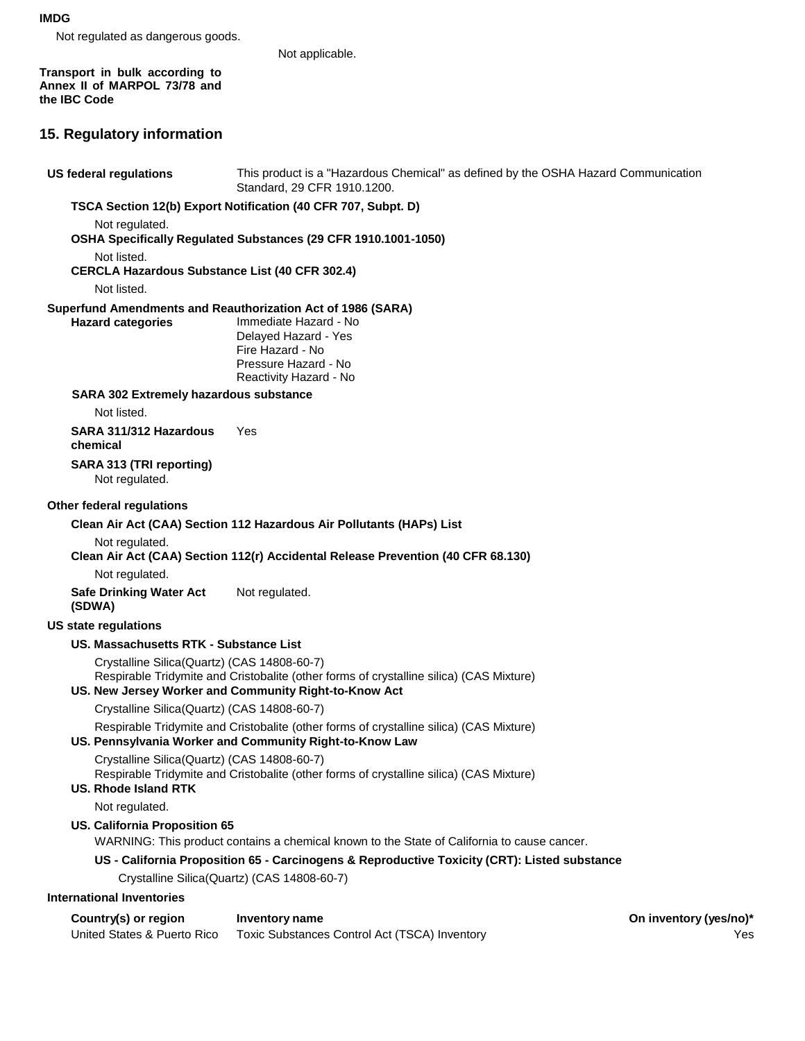#### **IMDG**

Not regulated as dangerous goods.

Not applicable.

**Transport in bulk according to Annex II of MARPOL 73/78 and the IBC Code**

## **15. Regulatory information**

**US federal regulations** This product is a "Hazardous Chemical" as defined by the OSHA Hazard Communication Standard, 29 CFR 1910.1200. **TSCA Section 12(b) Export Notification (40 CFR 707, Subpt. D)** Not regulated. **OSHA Specifically Regulated Substances (29 CFR 1910.1001-1050)** Not listed. **CERCLA Hazardous Substance List (40 CFR 302.4)** Not listed. **Superfund Amendments and Reauthorization Act of 1986 (SARA) Hazard categories** Immediate Hazard - No Delayed Hazard - Yes Fire Hazard - No Pressure Hazard - No Reactivity Hazard - No **SARA 302 Extremely hazardous substance** Not listed. **SARA 311/312 Hazardous chemical SARA 313 (TRI reporting)** Not regulated. Yes **Other federal regulations Clean Air Act (CAA) Section 112 Hazardous Air Pollutants (HAPs) List** Not regulated. **Clean Air Act (CAA) Section 112(r) Accidental Release Prevention (40 CFR 68.130)** Not regulated. **Safe Drinking Water Act (SDWA) US state regulations** Not regulated. **US. Massachusetts RTK - Substance List** Crystalline Silica(Quartz) (CAS 14808-60-7) Respirable Tridymite and Cristobalite (other forms of crystalline silica) (CAS Mixture) **US. New Jersey Worker and Community Right-to-Know Act** Crystalline Silica(Quartz) (CAS 14808-60-7) Respirable Tridymite and Cristobalite (other forms of crystalline silica) (CAS Mixture) **US. Pennsylvania Worker and Community Right-to-Know Law** Crystalline Silica(Quartz) (CAS 14808-60-7) Respirable Tridymite and Cristobalite (other forms of crystalline silica) (CAS Mixture) **US. Rhode Island RTK** Not regulated. **US. California Proposition 65** WARNING: This product contains a chemical known to the State of California to cause cancer. **US - California Proposition 65 - Carcinogens & Reproductive Toxicity (CRT): Listed substance** Crystalline Silica(Quartz) (CAS 14808-60-7) **International Inventories Country(s)** or region Inventory name **Country Country Country (yes/no)\* One inventory** (yes/no)\* United States & Puerto Rico Toxic Substances Control Act (TSCA) Inventory Yes